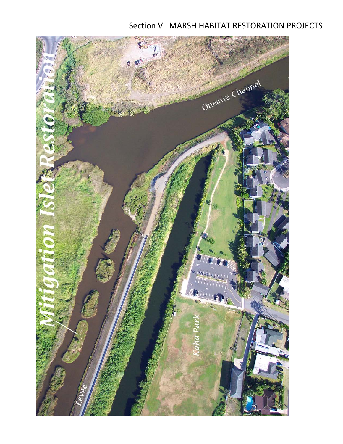# Section V. MARSH HABITAT RESTORATION PROJECTS

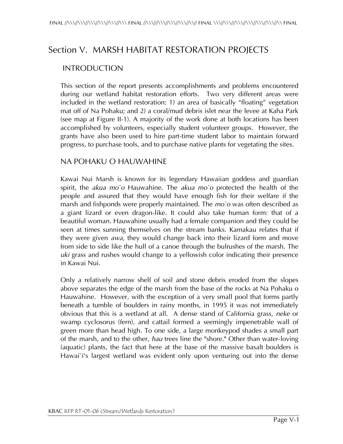# Section V. MARSH HABITAT RESTORATION PROJECTS

### INTRODUCTION

This section of the report presents accomplishments and problems encountered during our wetland habitat restoration efforts. Two very different areas were included in the wetland restoration: 1) an area of basically "floating" vegetation mat off of Na Pohaku; and 2) a coral/mud debris islet near the levee at Kaha Park (see map at Figure II-1). A majority of the work done at both locations has been accomplished by volunteers, especially student volunteer groups. However, the grants have also been used to hire part-time student labor to maintain forward progress, to purchase tools, and to purchase native plants for vegetating the sites.

#### NA POHAKU O HAUWAHINE

Kawai Nui Marsh is known for its legendary Hawaiian goddess and guardian spirit, the *akua mo`o* Hauwahine. The *akua mo`o* protected the health of the people and assured that they would have enough fish for their welfare if the marsh and fishponds were properly maintained. The *mo`o* was often described as a giant lizard or even dragon-like. It could also take human form: that of a beautiful woman. Hauwahine usually had a female companion and they could be seen at times sunning themselves on the stream banks. Kamakau relates that if they were given *awa*, they would change back into their lizard form and move from side to side like the hull of a canoe through the bulrushes of the marsh. The *uki* grass and rushes would change to a yellowish color indicating their presence in Kawai Nui.

Only a relatively narrow shelf of soil and stone debris eroded from the slopes above separates the edge of the marsh from the base of the rocks at Na Pohaku o Hauwahine. However, with the exception of a very small pool that forms partly beneath a tumble of boulders in rainy months, in 1995 it was not immediately obvious that this is a wetland at all. A dense stand of California grass, *neke* or swamp cyclosorus (fern), and cattail formed a seemingly impenetrable wall of green more than head high. To one side, a large monkeypod shades a small part of the marsh, and to the other, *hau* trees line the "shore." Other than water-loving (aquatic) plants, the fact that here at the base of the massive basalt boulders is Hawai`i's largest wetland was evident only upon venturing out into the dense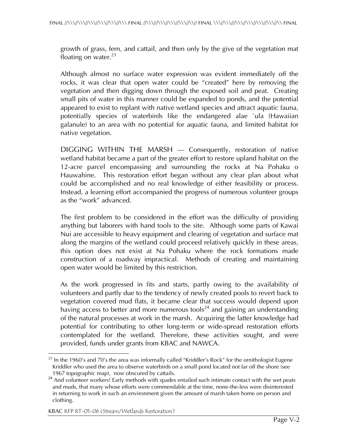growth of grass, fern, and cattail, and then only by the give of the vegetation mat floating on water. $^{23}$ 

Although almost no surface water expression was evident immediately off the rocks, it was clear that open water could be "created" here by removing the vegetation and then digging down through the exposed soil and peat. Creating small pits of water in this manner could be expanded to ponds, and the potential appeared to exist to replant with native wetland species and attract aquatic fauna, potentially species of waterbirds like the endangered alae `ula (Hawaiian galanule) to an area with no potential for aquatic fauna, and limited habitat for native vegetation.

DIGGING WITHIN THE MARSH — Consequently, restoration of native wetland habitat became a part of the greater effort to restore upland habitat on the 12-acre parcel encompassing and surrounding the rocks at Na Pohaku o Hauwahine. This restoration effort began without any clear plan about what could be accomplished and no real knowledge of either feasibility or process. Instead, a learning effort accompanied the progress of numerous volunteer groups as the "work" advanced.

The first problem to be considered in the effort was the difficulty of providing anything but laborers with hand tools to the site. Although some parts of Kawai Nui are accessible to heavy equipment and clearing of vegetation and surface mat along the margins of the wetland could proceed relatively quickly in these areas, this option does not exist at Na Pohaku where the rock formations made construction of a roadway impractical. Methods of creating and maintaining open water would be limited by this restriction.

As the work progressed in fits and starts, partly owing to the availability of volunteers and partly due to the tendency of newly created pools to revert back to vegetation covered mud flats, it became clear that success would depend upon having access to better and more numerous tools<sup>24</sup> and gaining an understanding of the natural processes at work in the marsh. Acquiring the latter knowledge had potential for contributing to other long-term or wide-spread restoration efforts contemplated for the wetland. Therefore, these activities sought, and were provided, funds under grants from KBAC and NAWCA.

KBAC RFP RT-01-06 (Stream/Wetlands Restoration)

 $\overline{a}$  $^{23}$  In the 1960's and 70's the area was informally called "Kriddler's Rock" for the ornithologist Eugene Kriddler who used the area to observe waterbirds on a small pond located not far off the shore (see<br>1967 topographic map), now obscured by cattails.

And volunteer workers! Early methods with spades entailed such intimate contact with the wet peats and muds, that many whose efforts were commendable at the time, none-the-less were disinterested in returning to work in such an environment given the amount of marsh taken home on person and clothing.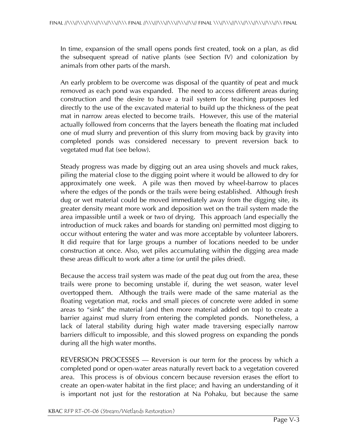In time, expansion of the small opens ponds first created, took on a plan, as did the subsequent spread of native plants (see Section IV) and colonization by animals from other parts of the marsh.

An early problem to be overcome was disposal of the quantity of peat and muck removed as each pond was expanded. The need to access different areas during construction and the desire to have a trail system for teaching purposes led directly to the use of the excavated material to build up the thickness of the peat mat in narrow areas elected to become trails. However, this use of the material actually followed from concerns that the layers beneath the floating mat included one of mud slurry and prevention of this slurry from moving back by gravity into completed ponds was considered necessary to prevent reversion back to vegetated mud flat (see below).

Steady progress was made by digging out an area using shovels and muck rakes, piling the material close to the digging point where it would be allowed to dry for approximately one week. A pile was then moved by wheel-barrow to places where the edges of the ponds or the trails were being established. Although fresh dug or wet material could be moved immediately away from the digging site, its greater density meant more work and deposition wet on the trail system made the area impassible until a week or two of drying. This approach (and especially the introduction of muck rakes and boards for standing on) permitted most digging to occur without entering the water and was more acceptable by volunteer laborers. It did require that for large groups a number of locations needed to be under construction at once. Also, wet piles accumulating within the digging area made these areas difficult to work after a time (or until the piles dried).

Because the access trail system was made of the peat dug out from the area, these trails were prone to becoming unstable if, during the wet season, water level overtopped them. Although the trails were made of the same material as the floating vegetation mat, rocks and small pieces of concrete were added in some areas to "sink" the material (and then more material added on top) to create a barrier against mud slurry from entering the completed ponds. Nonetheless, a lack of lateral stability during high water made traversing especially narrow barriers difficult to impossible, and this slowed progress on expanding the ponds during all the high water months.

REVERSION PROCESSES — Reversion is our term for the process by which a completed pond or open-water areas naturally revert back to a vegetation covered area. This process is of obvious concern because reversion erases the effort to create an open-water habitat in the first place; and having an understanding of it is important not just for the restoration at Na Pohaku, but because the same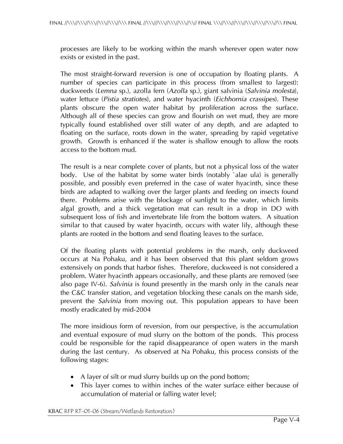processes are likely to be working within the marsh wherever open water now exists or existed in the past.

The most straight-forward reversion is one of occupation by floating plants. A number of species can participate in this process (from smallest to largest): duckweeds (*Lemna* sp.), azolla fern (*Azolla* sp.), giant salvinia (*Salvinia molesta*), water lettuce (*Pistia stratiotes*), and water hyacinth (*Eichhornia crassipes*). These plants obscure the open water habitat by proliferation across the surface. Although all of these species can grow and flourish on wet mud, they are more typically found established over still water of any depth, and are adapted to floating on the surface, roots down in the water, spreading by rapid vegetative growth. Growth is enhanced if the water is shallow enough to allow the roots access to the bottom mud.

The result is a near complete cover of plants, but not a physical loss of the water body. Use of the habitat by some water birds (notably `alae ula) is generally possible, and possibly even preferred in the case of water hyacinth, since these birds are adapted to walking over the larger plants and feeding on insects found there. Problems arise with the blockage of sunlight to the water, which limits algal growth, and a thick vegetation mat can result in a drop in DO with subsequent loss of fish and invertebrate life from the bottom waters. A situation similar to that caused by water hyacinth, occurs with water lily, although these plants are rooted in the bottom and send floating leaves to the surface.

Of the floating plants with potential problems in the marsh, only duckweed occurs at Na Pohaku, and it has been observed that this plant seldom grows extensively on ponds that harbor fishes. Therefore, duckweed is not considered a problem. Water hyacinth appears occasionally, and these plants are removed (see also page IV-6). *Salvinia* is found presently in the marsh only in the canals near the C&C transfer station, and vegetation blocking these canals on the marsh side, prevent the *Salvinia* from moving out. This population appears to have been mostly eradicated by mid-2004

The more insidious form of reversion, from our perspective, is the accumulation and eventual exposure of mud slurry on the bottom of the ponds. This process could be responsible for the rapid disappearance of open waters in the marsh during the last century. As observed at Na Pohaku, this process consists of the following stages:

- A layer of silt or mud slurry builds up on the pond bottom;
- This layer comes to within inches of the water surface either because of accumulation of material or falling water level;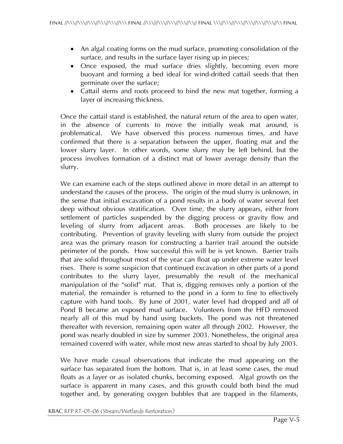- An algal coating forms on the mud surface, promoting consolidation of the surface, and results in the surface layer rising up in pieces;
- Once exposed, the mud surface dries slightly, becoming even more buoyant and forming a bed ideal for wind-drifted cattail seeds that then germinate over the surface;
- Cattail stems and roots proceed to bind the new mat together, forming a layer of increasing thickness.

Once the cattail stand is established, the natural return of the area to open water, in the absence of currents to move the initially weak mat around, is problematical. We have observed this process numerous times, and have confirmed that there is a separation between the upper, floating mat and the lower slurry layer. In other words, some slurry may be left behind, but the process involves formation of a distinct mat of lower average density than the slurry.

We can examine each of the steps outlined above in more detail in an attempt to understand the causes of the process. The origin of the mud slurry is unknown, in the sense that initial excavation of a pond results in a body of water several feet deep without obvious stratification. Over time, the slurry appears, either from settlement of particles suspended by the digging process or gravity flow and leveling of slurry from adjacent areas. Both processes are likely to be contributing. Prevention of gravity leveling with slurry from outside the project area was the primary reason for constructing a barrier trail around the outside perimeter of the ponds. How successful this will be is yet known. Barrier trails that are solid throughout most of the year can float up under extreme water level rises. There is some suspicion that continued excavation in other parts of a pond contributes to the slurry layer, presumably the result of the mechanical manipulation of the "solid" mat. That is, digging removes only a portion of the material, the remainder is returned to the pond in a form to fine to effectively capture with hand tools. By June of 2001, water level had dropped and all of Pond B became an exposed mud surface. Volunteers from the HFD removed nearly all of this mud by hand using buckets. The pond was not threatened thereafter with reversion, remaining open water all through 2002. However, the pond was nearly doubled in size by summer 2003. Nonetheless, the original area remained covered with water, while most new areas started to shoal by July 2003.

We have made casual observations that indicate the mud appearing on the surface has separated from the bottom. That is, in at least some cases, the mud floats as a layer or as isolated chunks, becoming exposed. Algal growth on the surface is apparent in many cases, and this growth could both bind the mud together and, by generating oxygen bubbles that are trapped in the filaments,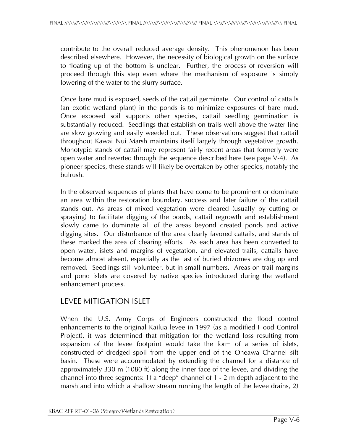contribute to the overall reduced average density. This phenomenon has been described elsewhere. However, the necessity of biological growth on the surface to floating up of the bottom is unclear. Further, the process of reversion will proceed through this step even where the mechanism of exposure is simply lowering of the water to the slurry surface.

Once bare mud is exposed, seeds of the cattail germinate. Our control of cattails (an exotic wetland plant) in the ponds is to minimize exposures of bare mud. Once exposed soil supports other species, cattail seedling germination is substantially reduced. Seedlings that establish on trails well above the water line are slow growing and easily weeded out. These observations suggest that cattail throughout Kawai Nui Marsh maintains itself largely through vegetative growth. Monotypic stands of cattail may represent fairly recent areas that formerly were open water and reverted through the sequence described here (see page V-4). As pioneer species, these stands will likely be overtaken by other species, notably the bulrush.

In the observed sequences of plants that have come to be prominent or dominate an area within the restoration boundary, success and later failure of the cattail stands out. As areas of mixed vegetation were cleared (usually by cutting or spraying) to facilitate digging of the ponds, cattail regrowth and establishment slowly came to dominate all of the areas beyond created ponds and active digging sites. Our disturbance of the area clearly favored cattails, and stands of these marked the area of clearing efforts. As each area has been converted to open water, islets and margins of vegetation, and elevated trails, cattails have become almost absent, especially as the last of buried rhizomes are dug up and removed. Seedlings still volunteer, but in small numbers. Areas on trail margins and pond islets are covered by native species introduced during the wetland enhancement process.

### LEVEE MITIGATION ISLET

When the U.S. Army Corps of Engineers constructed the flood control enhancements to the original Kailua levee in 1997 (as a modified Flood Control Project), it was determined that mitigation for the wetland loss resulting from expansion of the levee footprint would take the form of a series of islets, constructed of dredged spoil from the upper end of the Oneawa Channel silt basin. These were accommodated by extending the channel for a distance of approximately 330 m (1080 ft) along the inner face of the levee, and dividing the channel into three segments: 1) a "deep" channel of 1 - 2 m depth adjacent to the marsh and into which a shallow stream running the length of the levee drains, 2)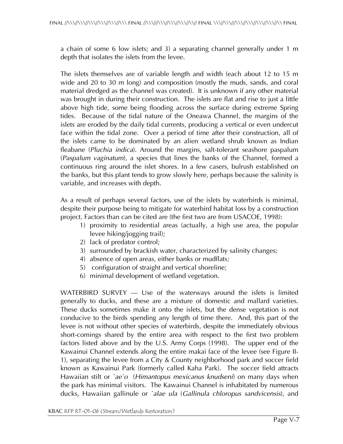a chain of some 6 low islets; and 3) a separating channel generally under 1 m depth that isolates the islets from the levee.

The islets themselves are of variable length and width (each about 12 to 15 m wide and 20 to 30 m long) and composition (mostly the muds, sands, and coral material dredged as the channel was created). It is unknown if any other material was brought in during their construction. The islets are flat and rise to just a little above high tide, some being flooding across the surface during extreme Spring tides. Because of the tidal nature of the Oneawa Channel, the margins of the islets are eroded by the daily tidal currents, producing a vertical or even undercut face within the tidal zone. Over a period of time after their construction, all of the islets came to be dominated by an alien wetland shrub known as Indian fleabane (*Pluchia indica*). Around the margins, salt-tolerant seashore paspalum (*Paspalum vaginatum*), a species that lines the banks of the Channel, formed a continuous ring around the islet shores. In a few casers, bulrush established on the banks, but this plant tends to grow slowly here, perhaps because the salinity is variable, and increases with depth.

As a result of perhaps several factors, use of the islets by waterbirds is minimal, despite their purpose being to mitigate for waterbird habitat loss by a construction project. Factors than can be cited are (the first two are from USACOE, 1998):

- 1) proximity to residential areas (actually, a high use area, the popular levee hiking/jogging trail);
- 2) lack of predator control;
- 3) surrounded by brackish water, characterized by salinity changes;
- 4) absence of open areas, either banks or mudflats;
- 5) configuration of straight and vertical shoreline;
- 6) minimal development of wetland vegetation.

WATERBIRD SURVEY — Use of the waterways around the islets is limited generally to ducks, and these are a mixture of domestic and mallard varieties. These ducks sometimes make it onto the islets, but the dense vegetation is not conducive to the birds spending any length of time there. And, this part of the levee is not without other species of waterbirds, despite the immediately obvious short-comings shared by the entire area with respect to the first two problem factors listed above and by the U.S. Army Corps (1998). The upper end of the Kawainui Channel extends along the entire makai face of the levee (see Figure II-1), separating the levee from a City & County neighborhood park and soccer field known as Kawainui Park (formerly called Kaha Park). The soccer field attracts Hawaiian stilt or *`ae`o* (*Himantopus mexicanus knudseni*) on many days when the park has minimal visitors. The Kawainui Channel is inhabitated by numerous ducks, Hawaiian gallinule or *`alae ula* (*Gallinula chloropus sandvicensis*), and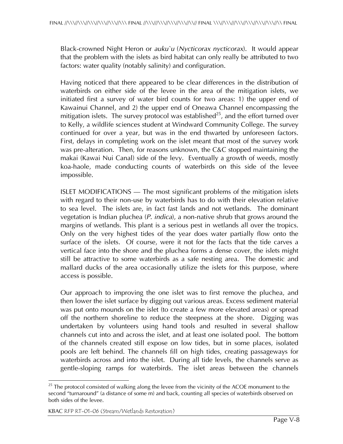Black-crowned Night Heron or *auku`u* (*Nycticorax nycticorax*). It would appear that the problem with the islets as bird habitat can only really be attributed to two factors: water quality (notably salinity) and configuration.

Having noticed that there appeared to be clear differences in the distribution of waterbirds on either side of the levee in the area of the mitigation islets, we initiated first a survey of water bird counts for two areas: 1) the upper end of Kawainui Channel, and 2) the upper end of Oneawa Channel encompassing the mitigation islets. The survey protocol was established<sup>25</sup>, and the effort turned over to Kelly, a wildlife sciences student at Windward Community College. The survey continued for over a year, but was in the end thwarted by unforeseen factors. First, delays in completing work on the islet meant that most of the survey work was pre-alteration. Then, for reasons unknown, the C&C stopped maintaining the makai (Kawai Nui Canal) side of the levy. Eventually a growth of weeds, mostly koa-haole, made conducting counts of waterbirds on this side of the levee impossible.

ISLET MODIFICATIONS — The most significant problems of the mitigation islets with regard to their non-use by waterbirds has to do with their elevation relative to sea level. The islets are, in fact fast lands and not wetlands. The dominant vegetation is Indian pluchea (*P. indica*), a non-native shrub that grows around the margins of wetlands. This plant is a serious pest in wetlands all over the tropics. Only on the very highest tides of the year does water partially flow onto the surface of the islets. Of course, were it not for the facts that the tide carves a vertical face into the shore and the pluchea forms a dense cover, the islets might still be attractive to some waterbirds as a safe nesting area. The domestic and mallard ducks of the area occasionally utilize the islets for this purpose, where access is possible.

Our approach to improving the one islet was to first remove the pluchea, and then lower the islet surface by digging out various areas. Excess sediment material was put onto mounds on the islet (to create a few more elevated areas) or spread off the northern shoreline to reduce the steepness at the shore. Digging was undertaken by volunteers using hand tools and resulted in several shallow channels cut into and across the islet, and at least one isolated pool. The bottom of the channels created still expose on low tides, but in some places, isolated pools are left behind. The channels fill on high tides, creating passageways for waterbirds across and into the islet. During all tide levels, the channels serve as gentle-sloping ramps for waterbirds. The islet areas between the channels

 $\overline{a}$  $^{25}$  The protocol consisted of walking along the levee from the vicinity of the ACOE monument to the second "turnaround" (a distance of some m) and back, counting all species of waterbirds observed on both sides of the levee.